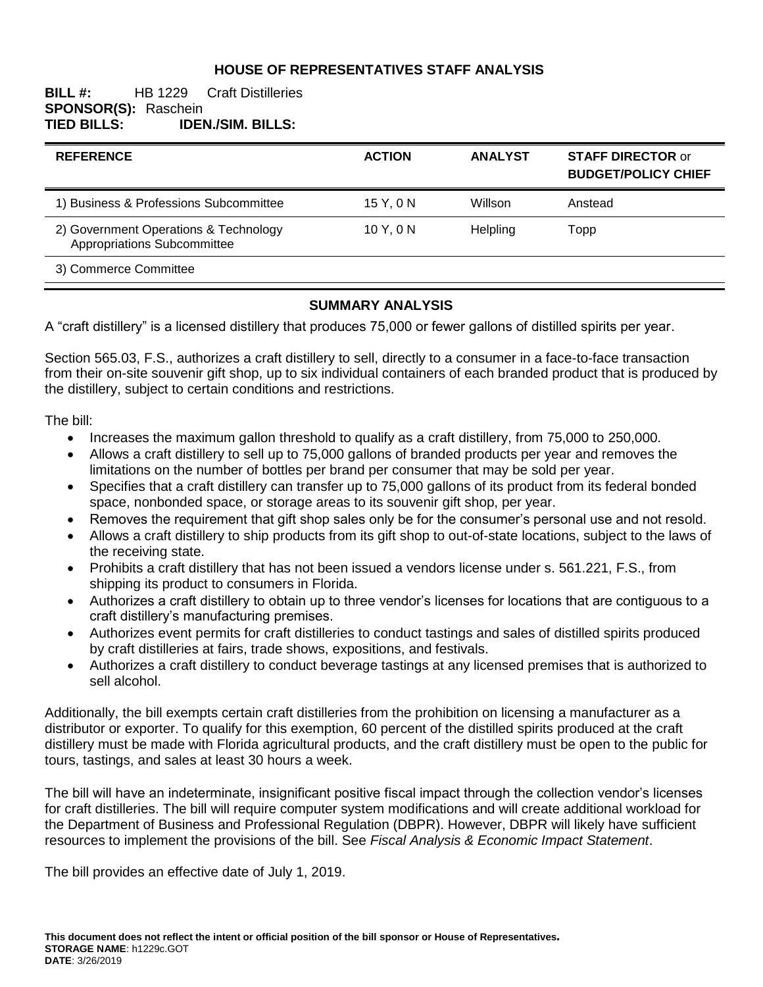## **HOUSE OF REPRESENTATIVES STAFF ANALYSIS**

### **BILL #:** HB 1229 Craft Distilleries **SPONSOR(S): Raschein<br>TIED BILLS: IDEI TIED BILLS: IDEN./SIM. BILLS:**

| <b>REFERENCE</b>                                                     | <b>ACTION</b> | <b>ANALYST</b> | <b>STAFF DIRECTOR or</b><br><b>BUDGET/POLICY CHIEF</b> |
|----------------------------------------------------------------------|---------------|----------------|--------------------------------------------------------|
| 1) Business & Professions Subcommittee                               | 15Y.0N        | Willson        | Anstead                                                |
| 2) Government Operations & Technology<br>Appropriations Subcommittee | 10Y.0N        | Helpling       | Topp                                                   |
| 3) Commerce Committee                                                |               |                |                                                        |

#### **SUMMARY ANALYSIS**

A "craft distillery" is a licensed distillery that produces 75,000 or fewer gallons of distilled spirits per year.

Section 565.03, F.S., authorizes a craft distillery to sell, directly to a consumer in a face-to-face transaction from their on-site souvenir gift shop, up to six individual containers of each branded product that is produced by the distillery, subject to certain conditions and restrictions.

The bill:

- Increases the maximum gallon threshold to qualify as a craft distillery, from 75,000 to 250,000.
- Allows a craft distillery to sell up to 75,000 gallons of branded products per year and removes the limitations on the number of bottles per brand per consumer that may be sold per year.
- Specifies that a craft distillery can transfer up to 75,000 gallons of its product from its federal bonded space, nonbonded space, or storage areas to its souvenir gift shop, per year.
- Removes the requirement that gift shop sales only be for the consumer's personal use and not resold.
- Allows a craft distillery to ship products from its gift shop to out-of-state locations, subject to the laws of the receiving state.
- Prohibits a craft distillery that has not been issued a vendors license under s. 561.221, F.S., from shipping its product to consumers in Florida.
- Authorizes a craft distillery to obtain up to three vendor's licenses for locations that are contiguous to a craft distillery's manufacturing premises.
- Authorizes event permits for craft distilleries to conduct tastings and sales of distilled spirits produced by craft distilleries at fairs, trade shows, expositions, and festivals.
- Authorizes a craft distillery to conduct beverage tastings at any licensed premises that is authorized to sell alcohol.

Additionally, the bill exempts certain craft distilleries from the prohibition on licensing a manufacturer as a distributor or exporter. To qualify for this exemption, 60 percent of the distilled spirits produced at the craft distillery must be made with Florida agricultural products, and the craft distillery must be open to the public for tours, tastings, and sales at least 30 hours a week.

The bill will have an indeterminate, insignificant positive fiscal impact through the collection vendor's licenses for craft distilleries. The bill will require computer system modifications and will create additional workload for the Department of Business and Professional Regulation (DBPR). However, DBPR will likely have sufficient resources to implement the provisions of the bill. See *Fiscal Analysis & Economic Impact Statement*.

The bill provides an effective date of July 1, 2019.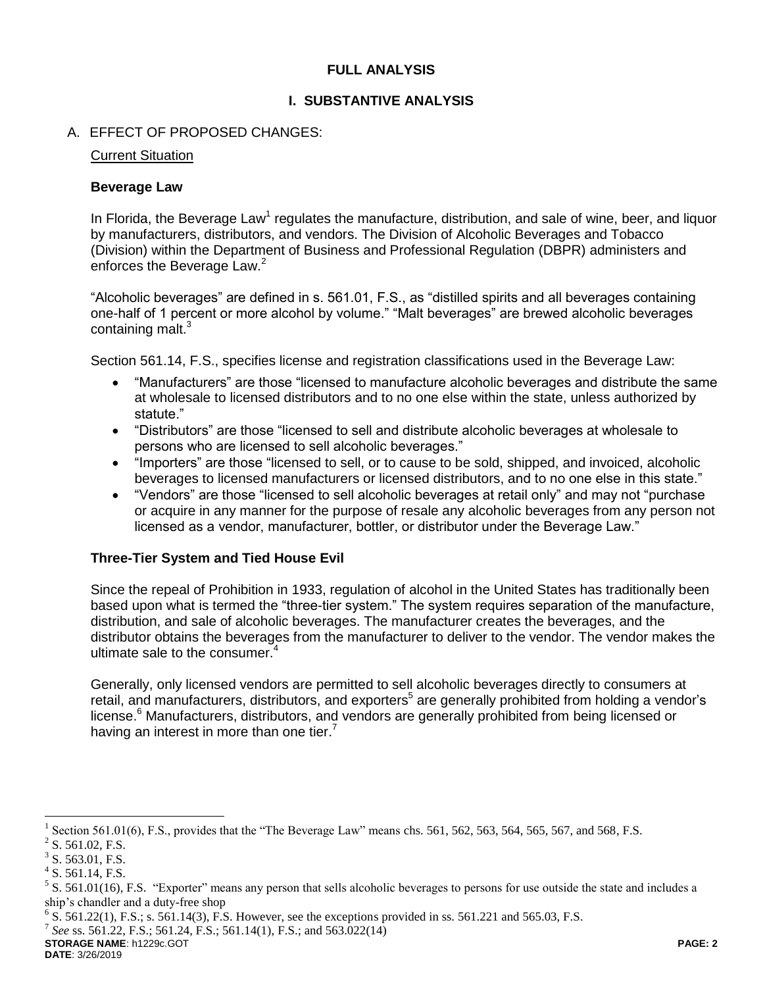### **FULL ANALYSIS**

### **I. SUBSTANTIVE ANALYSIS**

### A. EFFECT OF PROPOSED CHANGES:

#### Current Situation

#### **Beverage Law**

In Florida, the Beverage Law<sup>1</sup> regulates the manufacture, distribution, and sale of wine, beer, and liquor by manufacturers, distributors, and vendors. The Division of Alcoholic Beverages and Tobacco (Division) within the Department of Business and Professional Regulation (DBPR) administers and enforces the Beverage Law.<sup>2</sup>

"Alcoholic beverages" are defined in s. 561.01, F.S., as "distilled spirits and all beverages containing one-half of 1 percent or more alcohol by volume." "Malt beverages" are brewed alcoholic beverages containing malt.<sup>3</sup>

Section 561.14, F.S., specifies license and registration classifications used in the Beverage Law:

- "Manufacturers" are those "licensed to manufacture alcoholic beverages and distribute the same at wholesale to licensed distributors and to no one else within the state, unless authorized by statute."
- "Distributors" are those "licensed to sell and distribute alcoholic beverages at wholesale to persons who are licensed to sell alcoholic beverages."
- "Importers" are those "licensed to sell, or to cause to be sold, shipped, and invoiced, alcoholic beverages to licensed manufacturers or licensed distributors, and to no one else in this state."
- "Vendors" are those "licensed to sell alcoholic beverages at retail only" and may not "purchase or acquire in any manner for the purpose of resale any alcoholic beverages from any person not licensed as a vendor, manufacturer, bottler, or distributor under the Beverage Law."

#### **Three-Tier System and Tied House Evil**

Since the repeal of Prohibition in 1933, regulation of alcohol in the United States has traditionally been based upon what is termed the "three-tier system." The system requires separation of the manufacture, distribution, and sale of alcoholic beverages. The manufacturer creates the beverages, and the distributor obtains the beverages from the manufacturer to deliver to the vendor. The vendor makes the ultimate sale to the consumer.<sup>4</sup>

Generally, only licensed vendors are permitted to sell alcoholic beverages directly to consumers at retail, and manufacturers, distributors, and exporters<sup>5</sup> are generally prohibited from holding a vendor's license. <sup>6</sup> Manufacturers, distributors, and vendors are generally prohibited from being licensed or having an interest in more than one tier.<sup>7</sup>

 $\overline{a}$ 

**STORAGE NAME**: h1229c.GOT **PAGE: 2 DATE**: 3/26/2019

<sup>&</sup>lt;sup>1</sup> Section 561.01(6), F.S., provides that the "The Beverage Law" means chs. 561, 562, 563, 564, 565, 567, and 568, F.S.

 $2^2$  S. 561.02, F.S.

 $3$  S. 563.01, F.S.

 $4$  S. 561.14, F.S.

 $5$  S. 561.01(16), F.S. "Exporter" means any person that sells alcoholic beverages to persons for use outside the state and includes a ship's chandler and a duty-free shop

 $6$  S. 561.22(1), F.S.; s. 561.14(3), F.S. However, see the exceptions provided in ss. 561.221 and 565.03, F.S.

<sup>7</sup> *See* ss. 561.22, F.S.; 561.24, F.S.; 561.14(1), F.S.; and 563.022(14)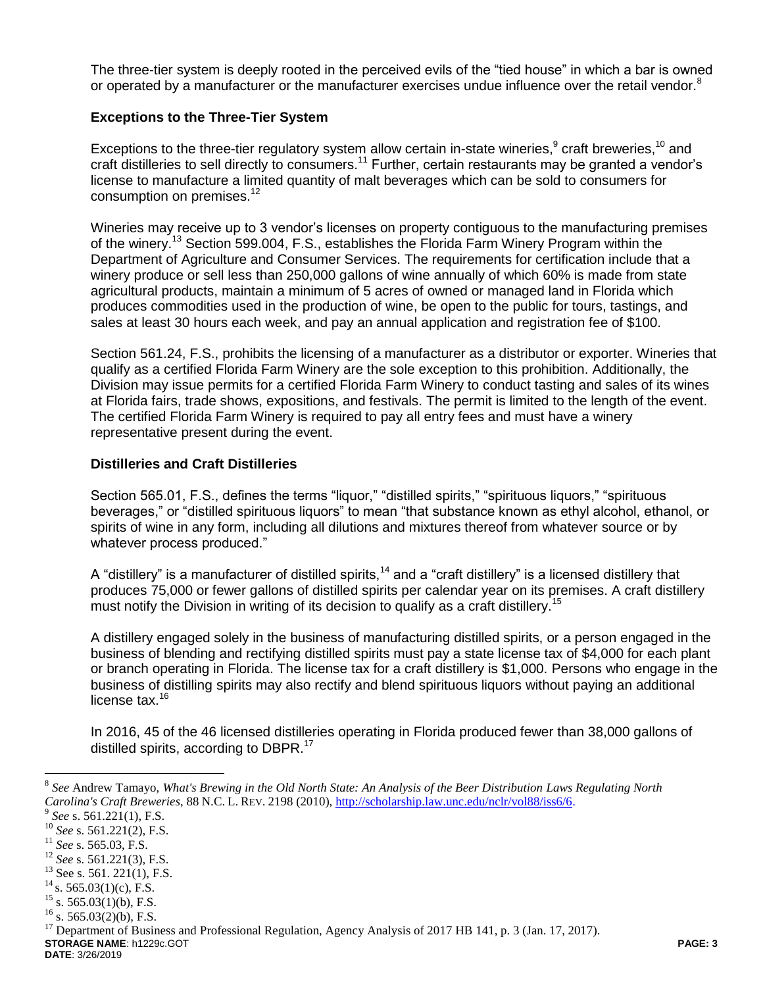The three-tier system is deeply rooted in the perceived evils of the "tied house" in which a bar is owned or operated by a manufacturer or the manufacturer exercises undue influence over the retail vendor.<sup>8</sup>

### **Exceptions to the Three-Tier System**

Exceptions to the three-tier regulatory system allow certain in-state wineries, $9$  craft breweries,  $10$  and craft distilleries to sell directly to consumers.<sup>11</sup> Further, certain restaurants may be granted a vendor's license to manufacture a limited quantity of malt beverages which can be sold to consumers for consumption on premises.<sup>12</sup>

Wineries may receive up to 3 vendor's licenses on property contiguous to the manufacturing premises of the winery.<sup>13</sup> Section 599.004, F.S., establishes the Florida Farm Winery Program within the Department of Agriculture and Consumer Services. The requirements for certification include that a winery produce or sell less than 250,000 gallons of wine annually of which 60% is made from state agricultural products, maintain a minimum of 5 acres of owned or managed land in Florida which produces commodities used in the production of wine, be open to the public for tours, tastings, and sales at least 30 hours each week, and pay an annual application and registration fee of \$100.

Section 561.24, F.S., prohibits the licensing of a manufacturer as a distributor or exporter. Wineries that qualify as a certified Florida Farm Winery are the sole exception to this prohibition. Additionally, the Division may issue permits for a certified Florida Farm Winery to conduct tasting and sales of its wines at Florida fairs, trade shows, expositions, and festivals. The permit is limited to the length of the event. The certified Florida Farm Winery is required to pay all entry fees and must have a winery representative present during the event.

#### **Distilleries and Craft Distilleries**

Section 565.01, F.S., defines the terms "liquor," "distilled spirits," "spirituous liquors," "spirituous beverages," or "distilled spirituous liquors" to mean "that substance known as ethyl alcohol, ethanol, or spirits of wine in any form, including all dilutions and mixtures thereof from whatever source or by whatever process produced."

A "distillery" is a manufacturer of distilled spirits,<sup>14</sup> and a "craft distillery" is a licensed distillery that produces 75,000 or fewer gallons of distilled spirits per calendar year on its premises. A craft distillery must notify the Division in writing of its decision to qualify as a craft distillery.<sup>15</sup>

A distillery engaged solely in the business of manufacturing distilled spirits, or a person engaged in the business of blending and rectifying distilled spirits must pay a state license tax of \$4,000 for each plant or branch operating in Florida. The license tax for a craft distillery is \$1,000. Persons who engage in the business of distilling spirits may also rectify and blend spirituous liquors without paying an additional license tax.<sup>16</sup>

In 2016, 45 of the 46 licensed distilleries operating in Florida produced fewer than 38,000 gallons of distilled spirits, according to DBPR.<sup>17</sup>

 $\overline{a}$ 

<sup>8</sup> *See* Andrew Tamayo, *What's Brewing in the Old North State: An Analysis of the Beer Distribution Laws Regulating North Carolina's Craft Breweries*, 88 N.C. L. REV. 2198 (2010), [http://scholarship.law.unc.edu/nclr/vol88/iss6/6.](http://scholarship.law.unc.edu/nclr/vol88/iss6/6) 9

*See* s. 561.221(1), F.S.

<sup>&</sup>lt;sup>10</sup> *See* s. 561.221(2), F.S.

<sup>11</sup> *See* s. 565.03, F.S.

<sup>12</sup> *See* s. 561.221(3), F.S.

 $13$  See s. 561. 221(1), F.S.

 $14$  s. 565.03(1)(c), F.S.

 $15$  s. 565.03(1)(b), F.S.

 $^{16}$  s. 565.03(2)(b), F.S.

**STORAGE NAME**: h1229c.GOT **PAGE: 3** <sup>17</sup> Department of Business and Professional Regulation, Agency Analysis of 2017 HB 141, p. 3 (Jan. 17, 2017).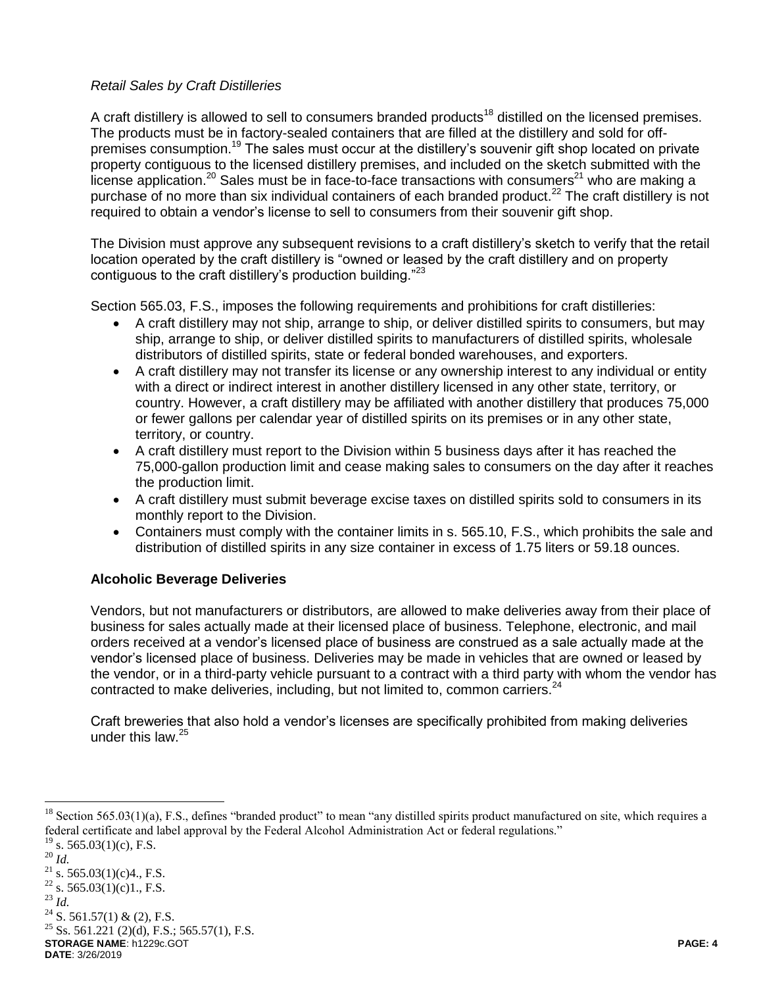## *Retail Sales by Craft Distilleries*

A craft distillery is allowed to sell to consumers branded products<sup>18</sup> distilled on the licensed premises. The products must be in factory-sealed containers that are filled at the distillery and sold for offpremises consumption.<sup>19</sup> The sales must occur at the distillery's souvenir gift shop located on private property contiguous to the licensed distillery premises, and included on the sketch submitted with the license application.<sup>20</sup> Sales must be in face-to-face transactions with consumers<sup>21</sup> who are making a purchase of no more than six individual containers of each branded product.<sup>22</sup> The craft distillery is not required to obtain a vendor's license to sell to consumers from their souvenir gift shop.

The Division must approve any subsequent revisions to a craft distillery's sketch to verify that the retail location operated by the craft distillery is "owned or leased by the craft distillery and on property contiguous to the craft distillery's production building."<sup>23</sup>

Section 565.03, F.S., imposes the following requirements and prohibitions for craft distilleries:

- A craft distillery may not ship, arrange to ship, or deliver distilled spirits to consumers, but may ship, arrange to ship, or deliver distilled spirits to manufacturers of distilled spirits, wholesale distributors of distilled spirits, state or federal bonded warehouses, and exporters.
- A craft distillery may not transfer its license or any ownership interest to any individual or entity with a direct or indirect interest in another distillery licensed in any other state, territory, or country. However, a craft distillery may be affiliated with another distillery that produces 75,000 or fewer gallons per calendar year of distilled spirits on its premises or in any other state, territory, or country.
- A craft distillery must report to the Division within 5 business days after it has reached the 75,000-gallon production limit and cease making sales to consumers on the day after it reaches the production limit.
- A craft distillery must submit beverage excise taxes on distilled spirits sold to consumers in its monthly report to the Division.
- Containers must comply with the container limits in s. 565.10, F.S., which prohibits the sale and distribution of distilled spirits in any size container in excess of 1.75 liters or 59.18 ounces.

# **Alcoholic Beverage Deliveries**

Vendors, but not manufacturers or distributors, are allowed to make deliveries away from their place of business for sales actually made at their licensed place of business. Telephone, electronic, and mail orders received at a vendor's licensed place of business are construed as a sale actually made at the vendor's licensed place of business. Deliveries may be made in vehicles that are owned or leased by the vendor, or in a third-party vehicle pursuant to a contract with a third party with whom the vendor has contracted to make deliveries, including, but not limited to, common carriers. $24$ 

Craft breweries that also hold a vendor's licenses are specifically prohibited from making deliveries under this law. $25$ 

 $\overline{a}$ 

 $24$  S. 561.57(1) & (2), F.S.

 $^{25}$  Ss. 561.221 (2)(d), F.S.; 565.57(1), F.S.

**STORAGE NAME**: h1229c.GOT **PAGE: 4**

Section 565.03(1)(a), F.S., defines "branded product" to mean "any distilled spirits product manufactured on site, which requires a federal certificate and label approval by the Federal Alcohol Administration Act or federal regulations."  $19$  s. 565.03(1)(c), F.S.

<sup>20</sup> *Id.*

<sup>&</sup>lt;sup>21</sup> s. 565.03(1)(c)4., F.S.  $^{22}$  s. 565.03(1)(c)1., F.S.

<sup>23</sup> *Id.*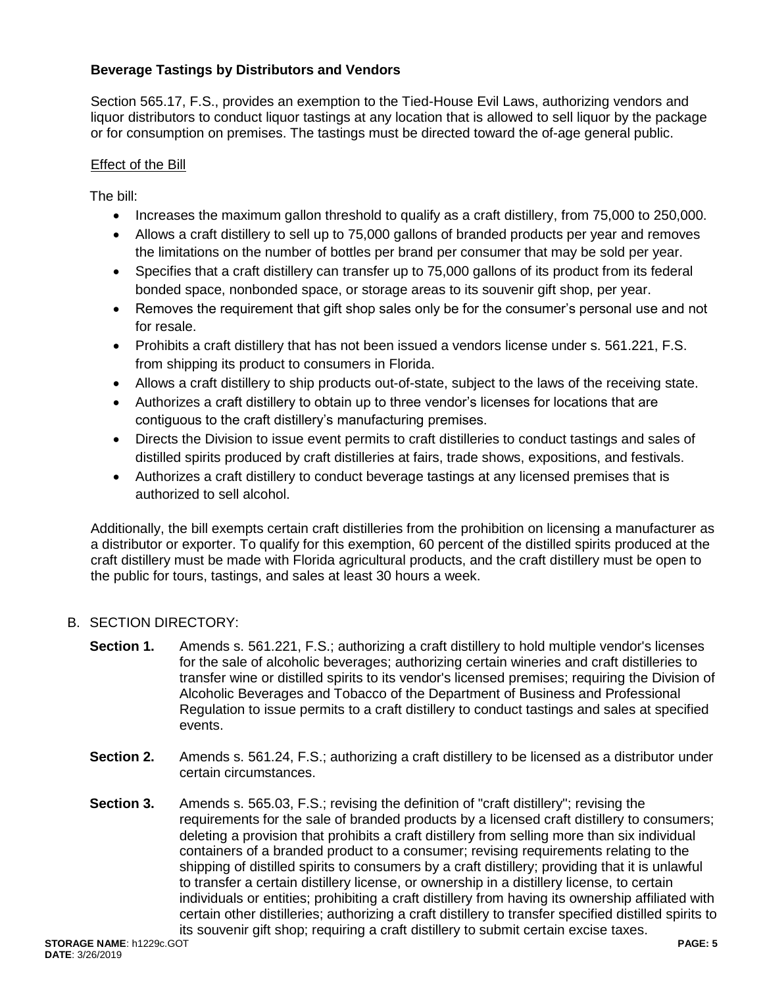# **Beverage Tastings by Distributors and Vendors**

Section 565.17, F.S., provides an exemption to the Tied-House Evil Laws, authorizing vendors and liquor distributors to conduct liquor tastings at any location that is allowed to sell liquor by the package or for consumption on premises. The tastings must be directed toward the of-age general public.

### Effect of the Bill

The bill:

- Increases the maximum gallon threshold to qualify as a craft distillery, from 75,000 to 250,000.
- Allows a craft distillery to sell up to 75,000 gallons of branded products per year and removes the limitations on the number of bottles per brand per consumer that may be sold per year.
- Specifies that a craft distillery can transfer up to 75,000 gallons of its product from its federal bonded space, nonbonded space, or storage areas to its souvenir gift shop, per year.
- Removes the requirement that gift shop sales only be for the consumer's personal use and not for resale.
- Prohibits a craft distillery that has not been issued a vendors license under s. 561.221, F.S. from shipping its product to consumers in Florida.
- Allows a craft distillery to ship products out-of-state, subject to the laws of the receiving state.
- Authorizes a craft distillery to obtain up to three vendor's licenses for locations that are contiguous to the craft distillery's manufacturing premises.
- Directs the Division to issue event permits to craft distilleries to conduct tastings and sales of distilled spirits produced by craft distilleries at fairs, trade shows, expositions, and festivals.
- Authorizes a craft distillery to conduct beverage tastings at any licensed premises that is authorized to sell alcohol.

Additionally, the bill exempts certain craft distilleries from the prohibition on licensing a manufacturer as a distributor or exporter. To qualify for this exemption, 60 percent of the distilled spirits produced at the craft distillery must be made with Florida agricultural products, and the craft distillery must be open to the public for tours, tastings, and sales at least 30 hours a week.

### B. SECTION DIRECTORY:

- **Section 1.** Amends s. 561.221, F.S.; authorizing a craft distillery to hold multiple vendor's licenses for the sale of alcoholic beverages; authorizing certain wineries and craft distilleries to transfer wine or distilled spirits to its vendor's licensed premises; requiring the Division of Alcoholic Beverages and Tobacco of the Department of Business and Professional Regulation to issue permits to a craft distillery to conduct tastings and sales at specified events.
- **Section 2.** Amends s. 561.24, F.S.; authorizing a craft distillery to be licensed as a distributor under certain circumstances.
- **Section 3.** Amends s. 565.03, F.S.; revising the definition of "craft distillery"; revising the requirements for the sale of branded products by a licensed craft distillery to consumers; deleting a provision that prohibits a craft distillery from selling more than six individual containers of a branded product to a consumer; revising requirements relating to the shipping of distilled spirits to consumers by a craft distillery; providing that it is unlawful to transfer a certain distillery license, or ownership in a distillery license, to certain individuals or entities; prohibiting a craft distillery from having its ownership affiliated with certain other distilleries; authorizing a craft distillery to transfer specified distilled spirits to its souvenir gift shop; requiring a craft distillery to submit certain excise taxes.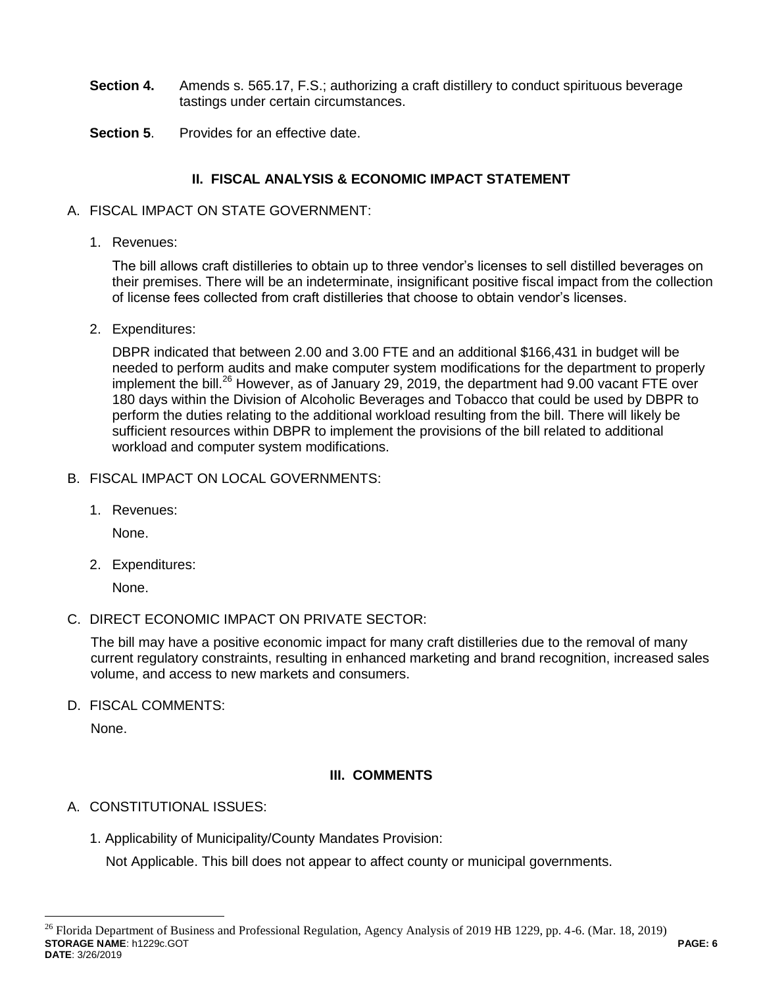- **Section 4.** Amends s. 565.17, F.S.; authorizing a craft distillery to conduct spirituous beverage tastings under certain circumstances.
- **Section 5**. Provides for an effective date.

# **II. FISCAL ANALYSIS & ECONOMIC IMPACT STATEMENT**

- A. FISCAL IMPACT ON STATE GOVERNMENT:
	- 1. Revenues:

The bill allows craft distilleries to obtain up to three vendor's licenses to sell distilled beverages on their premises. There will be an indeterminate, insignificant positive fiscal impact from the collection of license fees collected from craft distilleries that choose to obtain vendor's licenses.

2. Expenditures:

DBPR indicated that between 2.00 and 3.00 FTE and an additional \$166,431 in budget will be needed to perform audits and make computer system modifications for the department to properly implement the bill.<sup>26</sup> However, as of January 29, 2019, the department had 9.00 vacant FTE over 180 days within the Division of Alcoholic Beverages and Tobacco that could be used by DBPR to perform the duties relating to the additional workload resulting from the bill. There will likely be sufficient resources within DBPR to implement the provisions of the bill related to additional workload and computer system modifications.

- B. FISCAL IMPACT ON LOCAL GOVERNMENTS:
	- 1. Revenues:

None.

2. Expenditures:

None.

C. DIRECT ECONOMIC IMPACT ON PRIVATE SECTOR:

The bill may have a positive economic impact for many craft distilleries due to the removal of many current regulatory constraints, resulting in enhanced marketing and brand recognition, increased sales volume, and access to new markets and consumers.

D. FISCAL COMMENTS:

None.

 $\overline{a}$ 

### **III. COMMENTS**

- A. CONSTITUTIONAL ISSUES:
	- 1. Applicability of Municipality/County Mandates Provision:

Not Applicable. This bill does not appear to affect county or municipal governments.